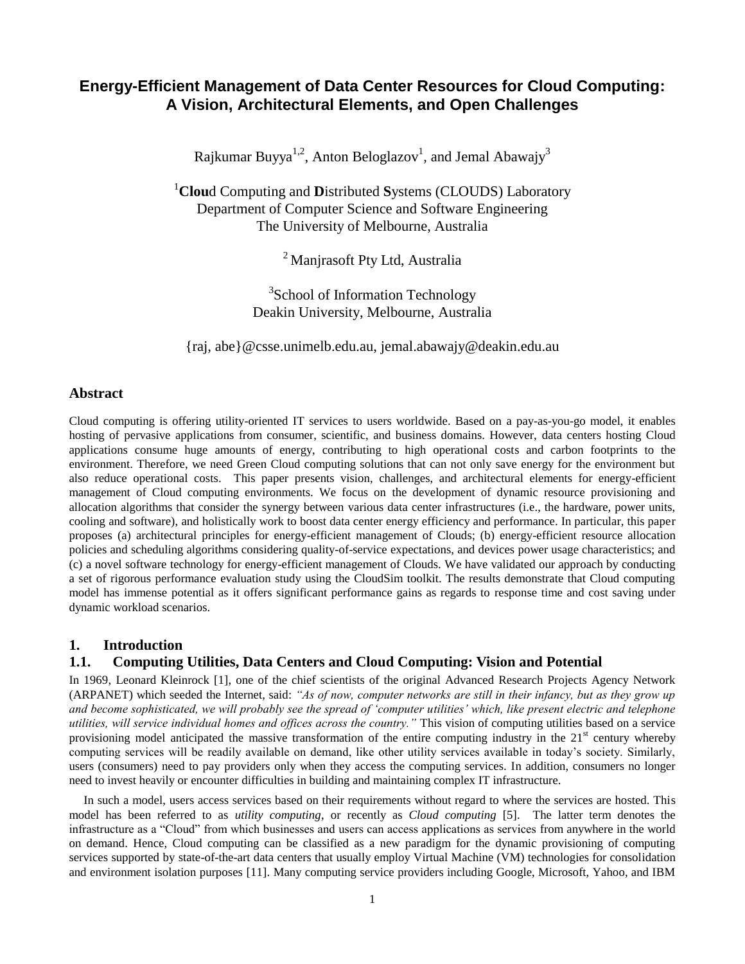# **Energy-Efficient Management of Data Center Resources for Cloud Computing: A Vision, Architectural Elements, and Open Challenges**

Rajkumar Buyya $^{1,2}$ , Anton Beloglazov $^1$ , and Jemal Abawajy $^3$ 

<sup>1</sup>**Clou**d Computing and **D**istributed **S**ystems (CLOUDS) Laboratory Department of Computer Science and Software Engineering The University of Melbourne, Australia

<sup>2</sup> Manjrasoft Pty Ltd, Australia

<sup>3</sup>School of Information Technology Deakin University, Melbourne, Australia

{raj, abe}@csse.unimelb.edu.au, jemal.abawajy@deakin.edu.au

## **Abstract**

Cloud computing is offering utility-oriented IT services to users worldwide. Based on a pay-as-you-go model, it enables hosting of pervasive applications from consumer, scientific, and business domains. However, data centers hosting Cloud applications consume huge amounts of energy, contributing to high operational costs and carbon footprints to the environment. Therefore, we need Green Cloud computing solutions that can not only save energy for the environment but also reduce operational costs.This paper presents vision, challenges, and architectural elements for energy-efficient management of Cloud computing environments. We focus on the development of dynamic resource provisioning and allocation algorithms that consider the synergy between various data center infrastructures (i.e., the hardware, power units, cooling and software), and holistically work to boost data center energy efficiency and performance. In particular, this paper proposes (a) architectural principles for energy-efficient management of Clouds; (b) energy-efficient resource allocation policies and scheduling algorithms considering quality-of-service expectations, and devices power usage characteristics; and (c) a novel software technology for energy-efficient management of Clouds. We have validated our approach by conducting a set of rigorous performance evaluation study using the CloudSim toolkit. The results demonstrate that Cloud computing model has immense potential as it offers significant performance gains as regards to response time and cost saving under dynamic workload scenarios.

### **1. Introduction**

## **1.1. Computing Utilities, Data Centers and Cloud Computing: Vision and Potential**

In 1969, Leonard Kleinrock [\[1\],](#page-10-0) one of the chief scientists of the original Advanced Research Projects Agency Network (ARPANET) which seeded the Internet, said: *"As of now, computer networks are still in their infancy, but as they grow up and become sophisticated, we will probably see the spread of "computer utilities" which, like present electric and telephone utilities, will service individual homes and offices across the country."* This vision of computing utilities based on a service provisioning model anticipated the massive transformation of the entire computing industry in the  $21<sup>st</sup>$  century whereby computing services will be readily available on demand, like other utility services available in today's society. Similarly, users (consumers) need to pay providers only when they access the computing services. In addition, consumers no longer need to invest heavily or encounter difficulties in building and maintaining complex IT infrastructure.

In such a model, users access services based on their requirements without regard to where the services are hosted. This model has been referred to as *utility computing*, or recently as *Cloud computing* [\[5\].](#page-10-1) The latter term denotes the infrastructure as a "Cloud" from which businesses and users can access applications as services from anywhere in the world on demand. Hence, Cloud computing can be classified as a new paradigm for the dynamic provisioning of computing services supported by state-of-the-art data centers that usually employ Virtual Machine (VM) technologies for consolidation and environment isolation purposes [\[11\].](#page-10-2) Many computing service providers including Google, Microsoft, Yahoo, and IBM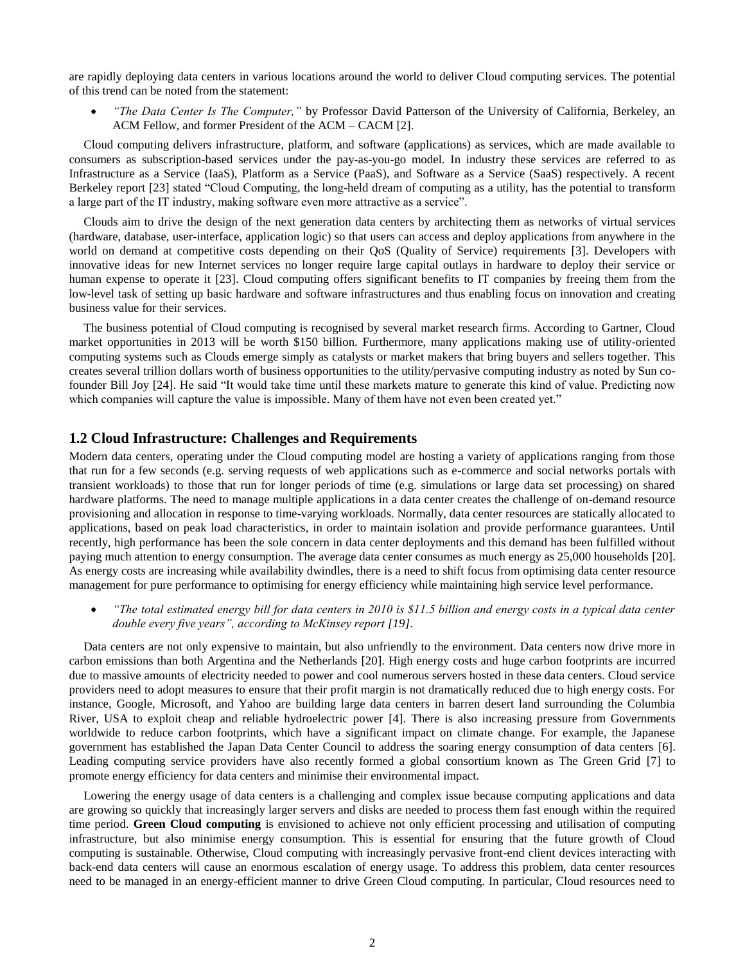are rapidly deploying data centers in various locations around the world to deliver Cloud computing services. The potential of this trend can be noted from the statement:

 *"The Data Center Is The Computer,"* by Professor David Patterson of the University of California, Berkeley, an ACM Fellow, and former President of the ACM – CACM [\[2\].](#page-10-3)

Cloud computing delivers infrastructure, platform, and software (applications) as services, which are made available to consumers as subscription-based services under the pay-as-you-go model. In industry these services are referred to as Infrastructure as a Service (IaaS), Platform as a Service (PaaS), and Software as a Service (SaaS) respectively. A recent Berkeley report [\[23\]](#page-11-0) stated "Cloud Computing, the long-held dream of computing as a utility, has the potential to transform a large part of the IT industry, making software even more attractive as a service".

Clouds aim to drive the design of the next generation data centers by architecting them as networks of virtual services (hardware, database, user-interface, application logic) so that users can access and deploy applications from anywhere in the world on demand at competitive costs depending on their QoS (Quality of Service) requirements [\[3\].](#page-10-4) Developers with innovative ideas for new Internet services no longer require large capital outlays in hardware to deploy their service or human expense to operate it [\[23\].](#page-11-0) Cloud computing offers significant benefits to IT companies by freeing them from the low-level task of setting up basic hardware and software infrastructures and thus enabling focus on innovation and creating business value for their services.

The business potential of Cloud computing is recognised by several market research firms. According to Gartner, Cloud market opportunities in 2013 will be worth \$150 billion. Furthermore, many applications making use of utility-oriented computing systems such as Clouds emerge simply as catalysts or market makers that bring buyers and sellers together. This creates several trillion dollars worth of business opportunities to the utility/pervasive computing industry as noted by Sun cofounder Bill Joy [\[24\].](#page-11-1) He said "It would take time until these markets mature to generate this kind of value. Predicting now which companies will capture the value is impossible. Many of them have not even been created yet."

#### **1.2 Cloud Infrastructure: Challenges and Requirements**

Modern data centers, operating under the Cloud computing model are hosting a variety of applications ranging from those that run for a few seconds (e.g. serving requests of web applications such as e-commerce and social networks portals with transient workloads) to those that run for longer periods of time (e.g. simulations or large data set processing) on shared hardware platforms. The need to manage multiple applications in a data center creates the challenge of on-demand resource provisioning and allocation in response to time-varying workloads. Normally, data center resources are statically allocated to applications, based on peak load characteristics, in order to maintain isolation and provide performance guarantees. Until recently, high performance has been the sole concern in data center deployments and this demand has been fulfilled without paying much attention to energy consumption. The average data center consumes as much energy as 25,000 households [\[20\].](#page-11-2) As energy costs are increasing while availability dwindles, there is a need to shift focus from optimising data center resource management for pure performance to optimising for energy efficiency while maintaining high service level performance.

 *"The total estimated energy bill for data centers in 2010 is \$11.5 billion and energy costs in a typical data center double every five years", according to McKinsey report [\[19\].](#page-11-3)*

Data centers are not only expensive to maintain, but also unfriendly to the environment. Data centers now drive more in carbon emissions than both Argentina and the Netherlands [\[20\].](#page-11-2) High energy costs and huge carbon footprints are incurred due to massive amounts of electricity needed to power and cool numerous servers hosted in these data centers. Cloud service providers need to adopt measures to ensure that their profit margin is not dramatically reduced due to high energy costs. For instance, Google, Microsoft, and Yahoo are building large data centers in barren desert land surrounding the Columbia River, USA to exploit cheap and reliable hydroelectric power [\[4\].](#page-10-5) There is also increasing pressure from Governments worldwide to reduce carbon footprints, which have a significant impact on climate change. For example, the Japanese government has established the Japan Data Center Council to address the soaring energy consumption of data centers [\[6\].](#page-10-6) Leading computing service providers have also recently formed a global consortium known as The Green Grid [\[7\]](#page-10-7) to promote energy efficiency for data centers and minimise their environmental impact.

Lowering the energy usage of data centers is a challenging and complex issue because computing applications and data are growing so quickly that increasingly larger servers and disks are needed to process them fast enough within the required time period. **Green Cloud computing** is envisioned to achieve not only efficient processing and utilisation of computing infrastructure, but also minimise energy consumption. This is essential for ensuring that the future growth of Cloud computing is sustainable. Otherwise, Cloud computing with increasingly pervasive front-end client devices interacting with back-end data centers will cause an enormous escalation of energy usage. To address this problem, data center resources need to be managed in an energy-efficient manner to drive Green Cloud computing. In particular, Cloud resources need to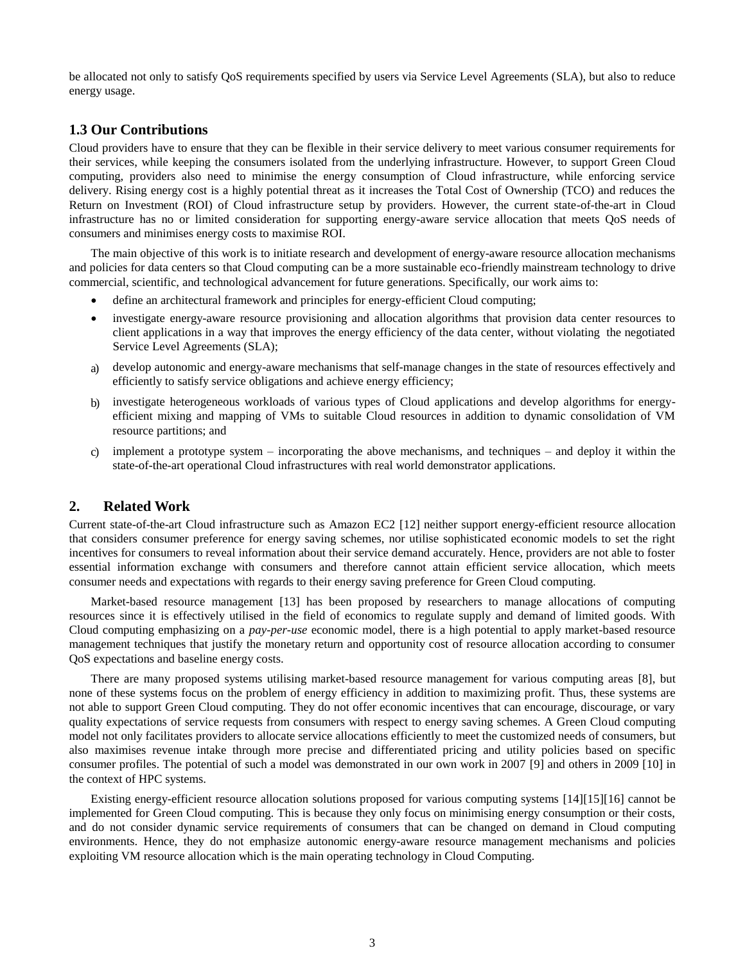be allocated not only to satisfy QoS requirements specified by users via Service Level Agreements (SLA), but also to reduce energy usage.

## **1.3 Our Contributions**

Cloud providers have to ensure that they can be flexible in their service delivery to meet various consumer requirements for their services, while keeping the consumers isolated from the underlying infrastructure. However, to support Green Cloud computing, providers also need to minimise the energy consumption of Cloud infrastructure, while enforcing service delivery. Rising energy cost is a highly potential threat as it increases the Total Cost of Ownership (TCO) and reduces the Return on Investment (ROI) of Cloud infrastructure setup by providers. However, the current state-of-the-art in Cloud infrastructure has no or limited consideration for supporting energy-aware service allocation that meets QoS needs of consumers and minimises energy costs to maximise ROI.

The main objective of this work is to initiate research and development of energy-aware resource allocation mechanisms and policies for data centers so that Cloud computing can be a more sustainable eco-friendly mainstream technology to drive commercial, scientific, and technological advancement for future generations. Specifically, our work aims to:

- define an architectural framework and principles for energy-efficient Cloud computing;
- investigate energy-aware resource provisioning and allocation algorithms that provision data center resources to client applications in a way that improves the energy efficiency of the data center, without violating the negotiated Service Level Agreements (SLA);
- a) develop autonomic and energy-aware mechanisms that self-manage changes in the state of resources effectively and efficiently to satisfy service obligations and achieve energy efficiency;
- b) investigate heterogeneous workloads of various types of Cloud applications and develop algorithms for energyefficient mixing and mapping of VMs to suitable Cloud resources in addition to dynamic consolidation of VM resource partitions; and
- c) implement a prototype system incorporating the above mechanisms, and techniques and deploy it within the state-of-the-art operational Cloud infrastructures with real world demonstrator applications.

### **2. Related Work**

Current state-of-the-art Cloud infrastructure such as Amazon EC2 [\[12\]](#page-11-4) neither support energy-efficient resource allocation that considers consumer preference for energy saving schemes, nor utilise sophisticated economic models to set the right incentives for consumers to reveal information about their service demand accurately. Hence, providers are not able to foster essential information exchange with consumers and therefore cannot attain efficient service allocation, which meets consumer needs and expectations with regards to their energy saving preference for Green Cloud computing.

Market-based resource management [\[13\]](#page-11-5) has been proposed by researchers to manage allocations of computing resources since it is effectively utilised in the field of economics to regulate supply and demand of limited goods. With Cloud computing emphasizing on a *pay-per-use* economic model, there is a high potential to apply market-based resource management techniques that justify the monetary return and opportunity cost of resource allocation according to consumer QoS expectations and baseline energy costs.

There are many proposed systems utilising market-based resource management for various computing areas [\[8\],](#page-10-8) but none of these systems focus on the problem of energy efficiency in addition to maximizing profit. Thus, these systems are not able to support Green Cloud computing. They do not offer economic incentives that can encourage, discourage, or vary quality expectations of service requests from consumers with respect to energy saving schemes. A Green Cloud computing model not only facilitates providers to allocate service allocations efficiently to meet the customized needs of consumers, but also maximises revenue intake through more precise and differentiated pricing and utility policies based on specific consumer profiles. The potential of such a model was demonstrated in our own work in 2007 [\[9\]](#page-10-9) and others in 2009 [\[10\]](#page-10-10) in the context of HPC systems.

Existing energy-efficient resource allocation solutions proposed for various computing systems [\[14\]\[15\]](#page-11-6)[\[16\]](#page-11-7) cannot be implemented for Green Cloud computing. This is because they only focus on minimising energy consumption or their costs, and do not consider dynamic service requirements of consumers that can be changed on demand in Cloud computing environments. Hence, they do not emphasize autonomic energy-aware resource management mechanisms and policies exploiting VM resource allocation which is the main operating technology in Cloud Computing.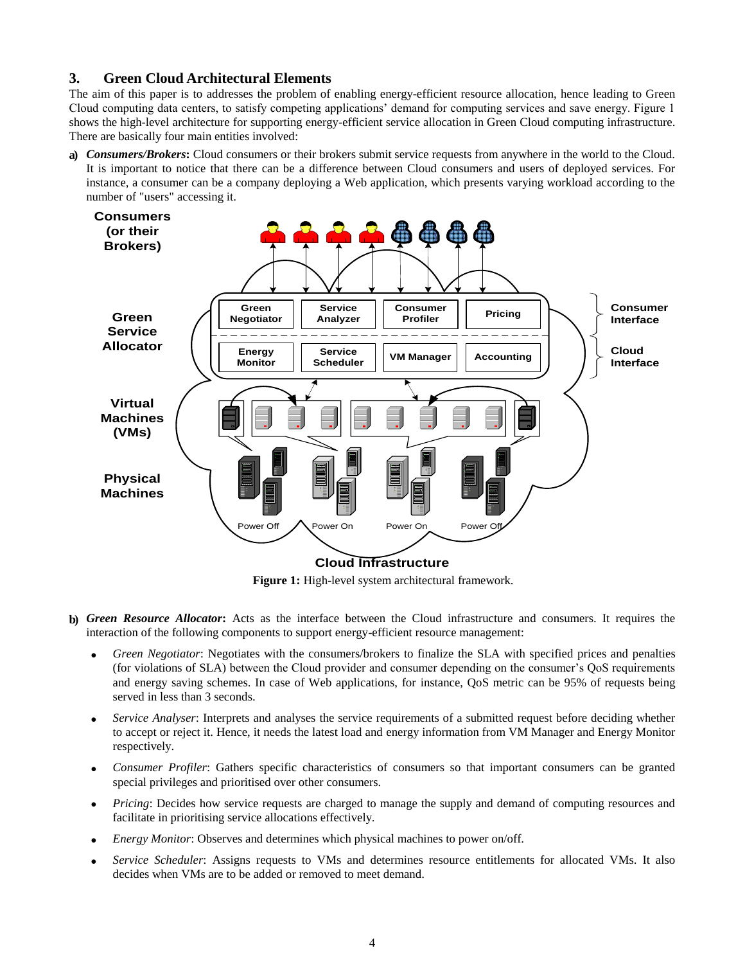## **3. Green Cloud Architectural Elements**

The aim of this paper is to addresses the problem of enabling energy-efficient resource allocation, hence leading to Green Cloud computing data centers, to satisfy competing applications' demand for computing services and save energy. Figure 1 shows the high-level architecture for supporting energy-efficient service allocation in Green Cloud computing infrastructure. There are basically four main entities involved:

**a)** *Consumers/Brokers***:** Cloud consumers or their brokers submit service requests from anywhere in the world to the Cloud. It is important to notice that there can be a difference between Cloud consumers and users of deployed services. For instance, a consumer can be a company deploying a Web application, which presents varying workload according to the number of "users" accessing it.



**Figure 1:** High-level system architectural framework.

- **b)** *Green Resource Allocator***:** Acts as the interface between the Cloud infrastructure and consumers. It requires the interaction of the following components to support energy-efficient resource management:
	- *Green Negotiator*: Negotiates with the consumers/brokers to finalize the SLA with specified prices and penalties (for violations of SLA) between the Cloud provider and consumer depending on the consumer's QoS requirements and energy saving schemes. In case of Web applications, for instance, QoS metric can be 95% of requests being served in less than 3 seconds.
	- *Service Analyser*: Interprets and analyses the service requirements of a submitted request before deciding whether to accept or reject it. Hence, it needs the latest load and energy information from VM Manager and Energy Monitor respectively.
	- *Consumer Profiler*: Gathers specific characteristics of consumers so that important consumers can be granted special privileges and prioritised over other consumers.
	- *Pricing*: Decides how service requests are charged to manage the supply and demand of computing resources and facilitate in prioritising service allocations effectively.
	- *Energy Monitor*: Observes and determines which physical machines to power on/off.
	- *Service Scheduler*: Assigns requests to VMs and determines resource entitlements for allocated VMs. It also decides when VMs are to be added or removed to meet demand.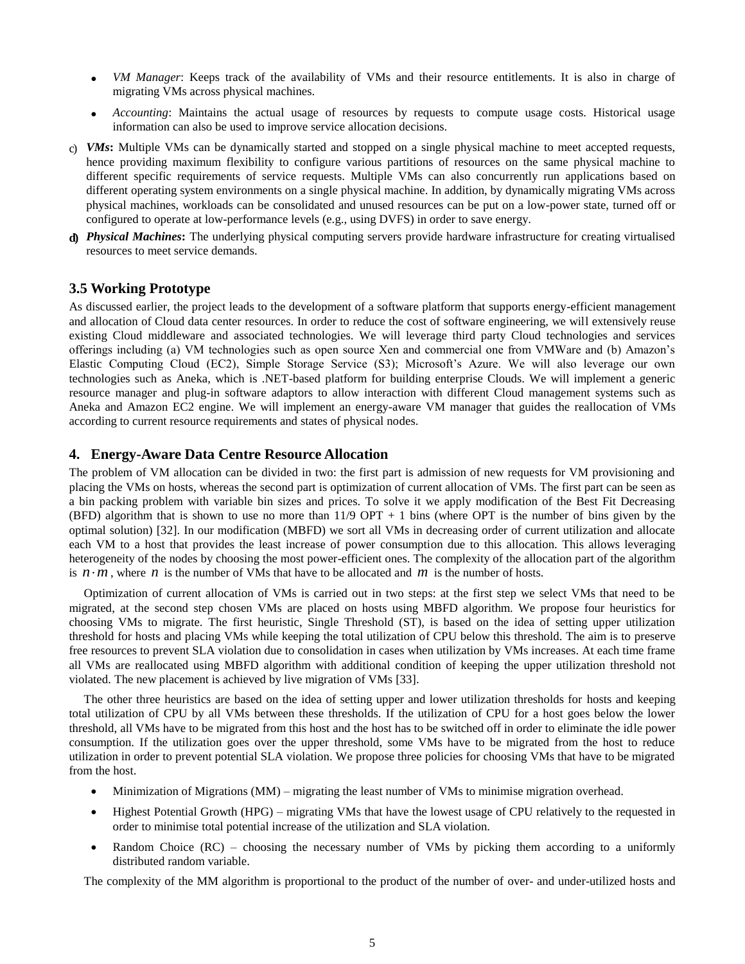- *VM Manager*: Keeps track of the availability of VMs and their resource entitlements. It is also in charge of migrating VMs across physical machines.
- *Accounting*: Maintains the actual usage of resources by requests to compute usage costs. Historical usage information can also be used to improve service allocation decisions.
- c) *VMs***:** Multiple VMs can be dynamically started and stopped on a single physical machine to meet accepted requests, hence providing maximum flexibility to configure various partitions of resources on the same physical machine to different specific requirements of service requests. Multiple VMs can also concurrently run applications based on different operating system environments on a single physical machine. In addition, by dynamically migrating VMs across physical machines, workloads can be consolidated and unused resources can be put on a low-power state, turned off or configured to operate at low-performance levels (e.g., using DVFS) in order to save energy.
- **d)** *Physical Machines***:** The underlying physical computing servers provide hardware infrastructure for creating virtualised resources to meet service demands.

### **3.5 Working Prototype**

As discussed earlier, the project leads to the development of a software platform that supports energy-efficient management and allocation of Cloud data center resources. In order to reduce the cost of software engineering, we will extensively reuse existing Cloud middleware and associated technologies. We will leverage third party Cloud technologies and services offerings including (a) VM technologies such as open source Xen and commercial one from VMWare and (b) Amazon's Elastic Computing Cloud (EC2), Simple Storage Service (S3); Microsoft's Azure. We will also leverage our own technologies such as Aneka, which is .NET-based platform for building enterprise Clouds. We will implement a generic resource manager and plug-in software adaptors to allow interaction with different Cloud management systems such as Aneka and Amazon EC2 engine. We will implement an energy-aware VM manager that guides the reallocation of VMs according to current resource requirements and states of physical nodes.

## **4. Energy-Aware Data Centre Resource Allocation**

The problem of VM allocation can be divided in two: the first part is admission of new requests for VM provisioning and placing the VMs on hosts, whereas the second part is optimization of current allocation of VMs. The first part can be seen as a bin packing problem with variable bin sizes and prices. To solve it we apply modification of the Best Fit Decreasing (BFD) algorithm that is shown to use no more than  $11/9$  OPT + 1 bins (where OPT is the number of bins given by the optimal solution) [\[32\].](#page-11-8) In our modification (MBFD) we sort all VMs in decreasing order of current utilization and allocate each VM to a host that provides the least increase of power consumption due to this allocation. This allows leveraging heterogeneity of the nodes by choosing the most power-efficient ones. The complexity of the allocation part of the algorithm is  $n \cdot m$ , where *n* is the number of VMs that have to be allocated and *m* is the number of hosts.

Optimization of current allocation of VMs is carried out in two steps: at the first step we select VMs that need to be migrated, at the second step chosen VMs are placed on hosts using MBFD algorithm. We propose four heuristics for choosing VMs to migrate. The first heuristic, Single Threshold (ST), is based on the idea of setting upper utilization threshold for hosts and placing VMs while keeping the total utilization of CPU below this threshold. The aim is to preserve free resources to prevent SLA violation due to consolidation in cases when utilization by VMs increases. At each time frame all VMs are reallocated using MBFD algorithm with additional condition of keeping the upper utilization threshold not violated. The new placement is achieved by live migration of VMs [\[33\].](#page-11-9)

The other three heuristics are based on the idea of setting upper and lower utilization thresholds for hosts and keeping total utilization of CPU by all VMs between these thresholds. If the utilization of CPU for a host goes below the lower threshold, all VMs have to be migrated from this host and the host has to be switched off in order to eliminate the idle power consumption. If the utilization goes over the upper threshold, some VMs have to be migrated from the host to reduce utilization in order to prevent potential SLA violation. We propose three policies for choosing VMs that have to be migrated from the host.

- Minimization of Migrations (MM) migrating the least number of VMs to minimise migration overhead.
- Highest Potential Growth (HPG) migrating VMs that have the lowest usage of CPU relatively to the requested in order to minimise total potential increase of the utilization and SLA violation.
- Random Choice (RC) choosing the necessary number of VMs by picking them according to a uniformly distributed random variable.

The complexity of the MM algorithm is proportional to the product of the number of over- and under-utilized hosts and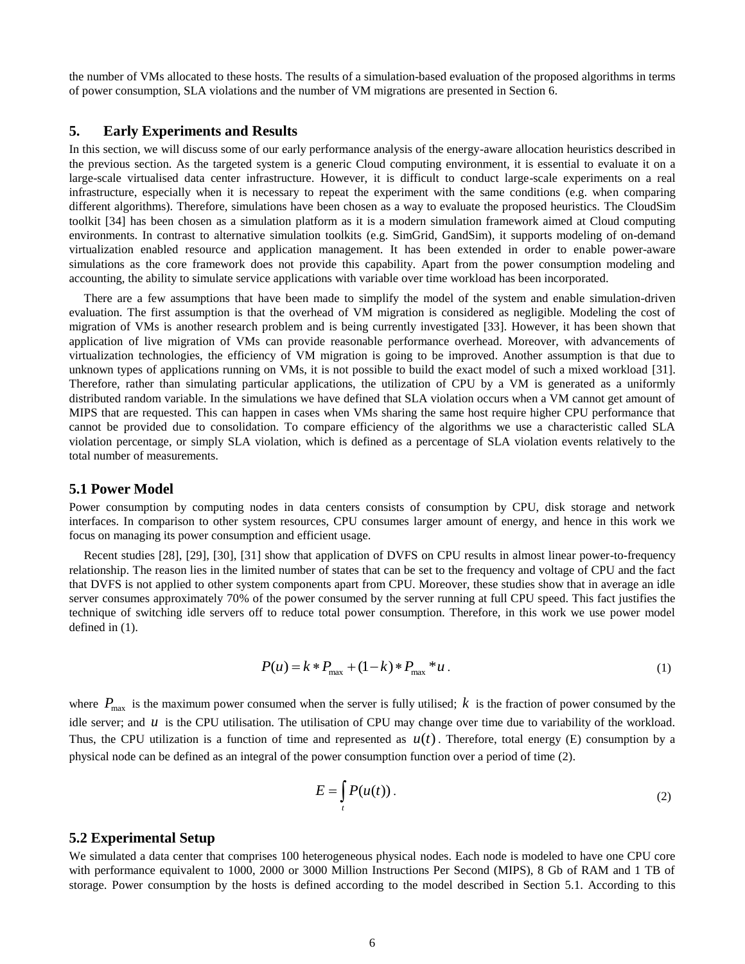the number of VMs allocated to these hosts. The results of a simulation-based evaluation of the proposed algorithms in terms of power consumption, SLA violations and the number of VM migrations are presented in Section 6.

#### **5. Early Experiments and Results**

In this section, we will discuss some of our early performance analysis of the energy-aware allocation heuristics described in the previous section. As the targeted system is a generic Cloud computing environment, it is essential to evaluate it on a large-scale virtualised data center infrastructure. However, it is difficult to conduct large-scale experiments on a real infrastructure, especially when it is necessary to repeat the experiment with the same conditions (e.g. when comparing different algorithms). Therefore, simulations have been chosen as a way to evaluate the proposed heuristics. The CloudSim toolkit [\[34\]](#page-11-10) has been chosen as a simulation platform as it is a modern simulation framework aimed at Cloud computing environments. In contrast to alternative simulation toolkits (e.g. SimGrid, GandSim), it supports modeling of on-demand virtualization enabled resource and application management. It has been extended in order to enable power-aware simulations as the core framework does not provide this capability. Apart from the power consumption modeling and accounting, the ability to simulate service applications with variable over time workload has been incorporated.

There are a few assumptions that have been made to simplify the model of the system and enable simulation-driven evaluation. The first assumption is that the overhead of VM migration is considered as negligible. Modeling the cost of migration of VMs is another research problem and is being currently investigated [\[33\].](#page-11-9) However, it has been shown that application of live migration of VMs can provide reasonable performance overhead. Moreover, with advancements of virtualization technologies, the efficiency of VM migration is going to be improved. Another assumption is that due to unknown types of applications running on VMs, it is not possible to build the exact model of such a mixed workload [\[31\].](#page-11-11) Therefore, rather than simulating particular applications, the utilization of CPU by a VM is generated as a uniformly distributed random variable. In the simulations we have defined that SLA violation occurs when a VM cannot get amount of MIPS that are requested. This can happen in cases when VMs sharing the same host require higher CPU performance that cannot be provided due to consolidation. To compare efficiency of the algorithms we use a characteristic called SLA violation percentage, or simply SLA violation, which is defined as a percentage of SLA violation events relatively to the total number of measurements.

#### **5.1 Power Model**

Power consumption by computing nodes in data centers consists of consumption by CPU, disk storage and network interfaces. In comparison to other system resources, CPU consumes larger amount of energy, and hence in this work we focus on managing its power consumption and efficient usage.

Recent studies [\[28\],](#page-11-12) [\[29\],](#page-11-13) [\[30\],](#page-11-14) [\[31\]](#page-11-11) show that application of DVFS on CPU results in almost linear power-to-frequency relationship. The reason lies in the limited number of states that can be set to the frequency and voltage of CPU and the fact that DVFS is not applied to other system components apart from CPU. Moreover, these studies show that in average an idle server consumes approximately 70% of the power consumed by the server running at full CPU speed. This fact justifies the technique of switching idle servers off to reduce total power consumption. Therefore, in this work we use power model defined in [\(1\).](#page-5-0)

$$
P(u) = k * P_{\text{max}} + (1 - k) * P_{\text{max}} * u.
$$
 (1)

where  $P_{\text{max}}$  is the maximum power consumed when the server is fully utilised;  $k$  is the fraction of power consumed by the idle server; and  $u$  is the CPU utilisation. The utilisation of CPU may change over time due to variability of the workload. Thus, the CPU utilization is a function of time and represented as  $u(t)$ . Therefore, total energy (E) consumption by a physical node can be defined as an integral of the power consumption function over a period of time [\(2\).](#page-5-1)

<span id="page-5-1"></span><span id="page-5-0"></span>
$$
E = \int_{t} P(u(t)).
$$
 (2)

#### **5.2 Experimental Setup**

We simulated a data center that comprises 100 heterogeneous physical nodes. Each node is modeled to have one CPU core with performance equivalent to 1000, 2000 or 3000 Million Instructions Per Second (MIPS), 8 Gb of RAM and 1 TB of storage. Power consumption by the hosts is defined according to the model described in Section 5.1. According to this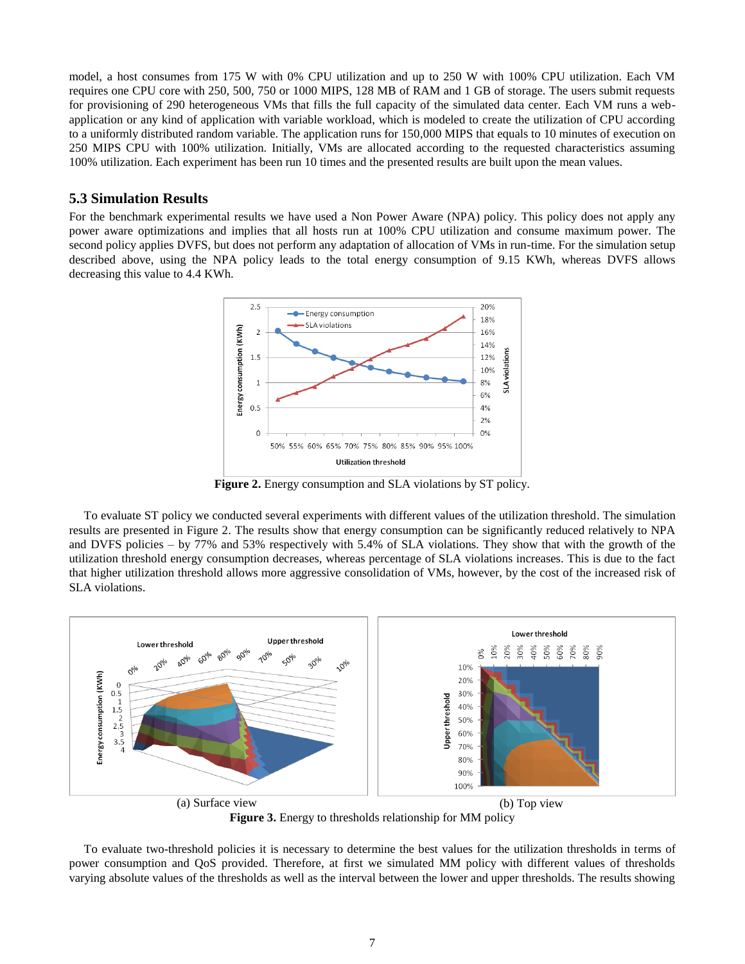model, a host consumes from 175 W with 0% CPU utilization and up to 250 W with 100% CPU utilization. Each VM requires one CPU core with 250, 500, 750 or 1000 MIPS, 128 MB of RAM and 1 GB of storage. The users submit requests for provisioning of 290 heterogeneous VMs that fills the full capacity of the simulated data center. Each VM runs a webapplication or any kind of application with variable workload, which is modeled to create the utilization of CPU according to a uniformly distributed random variable. The application runs for 150,000 MIPS that equals to 10 minutes of execution on 250 MIPS CPU with 100% utilization. Initially, VMs are allocated according to the requested characteristics assuming 100% utilization. Each experiment has been run 10 times and the presented results are built upon the mean values.

#### **5.3 Simulation Results**

For the benchmark experimental results we have used a Non Power Aware (NPA) policy. This policy does not apply any power aware optimizations and implies that all hosts run at 100% CPU utilization and consume maximum power. The second policy applies DVFS, but does not perform any adaptation of allocation of VMs in run-time. For the simulation setup described above, using the NPA policy leads to the total energy consumption of 9.15 KWh, whereas DVFS allows decreasing this value to 4.4 KWh.



**Figure 2.** Energy consumption and SLA violations by ST policy.

<span id="page-6-0"></span>To evaluate ST policy we conducted several experiments with different values of the utilization threshold. The simulation results are presented in [Figure 2.](#page-6-0) The results show that energy consumption can be significantly reduced relatively to NPA and DVFS policies – by 77% and 53% respectively with 5.4% of SLA violations. They show that with the growth of the utilization threshold energy consumption decreases, whereas percentage of SLA violations increases. This is due to the fact that higher utilization threshold allows more aggressive consolidation of VMs, however, by the cost of the increased risk of SLA violations.



**Figure 3.** Energy to thresholds relationship for MM policy

<span id="page-6-1"></span>To evaluate two-threshold policies it is necessary to determine the best values for the utilization thresholds in terms of power consumption and QoS provided. Therefore, at first we simulated MM policy with different values of thresholds varying absolute values of the thresholds as well as the interval between the lower and upper thresholds. The results showing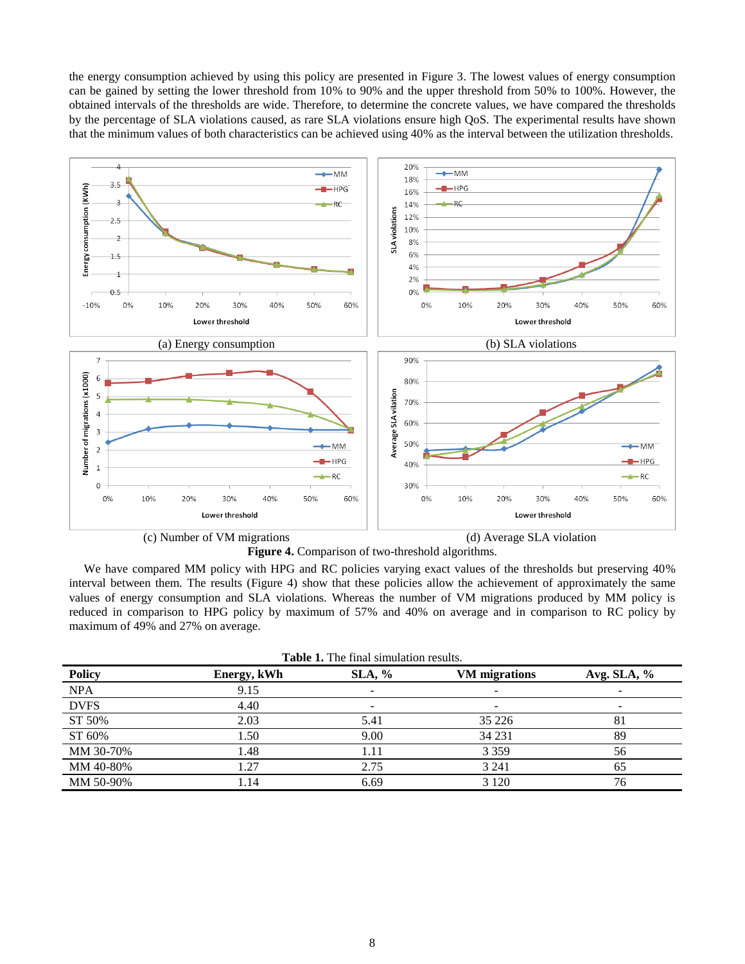the energy consumption achieved by using this policy are presented in [Figure 3.](#page-6-1) The lowest values of energy consumption can be gained by setting the lower threshold from 10% to 90% and the upper threshold from 50% to 100%. However, the obtained intervals of the thresholds are wide. Therefore, to determine the concrete values, we have compared the thresholds by the percentage of SLA violations caused, as rare SLA violations ensure high QoS. The experimental results have shown that the minimum values of both characteristics can be achieved using 40% as the interval between the utilization thresholds.



**Figure 4.** Comparison of two-threshold algorithms.

<span id="page-7-0"></span>We have compared MM policy with HPG and RC policies varying exact values of the thresholds but preserving 40% interval between them. The results [\(Figure 4\)](#page-7-0) show that these policies allow the achievement of approximately the same values of energy consumption and SLA violations. Whereas the number of VM migrations produced by MM policy is reduced in comparison to HPG policy by maximum of 57% and 40% on average and in comparison to RC policy by maximum of 49% and 27% on average.

<span id="page-7-1"></span>

| <b>Table 1.</b> The final simulation results. |             |           |                      |               |  |
|-----------------------------------------------|-------------|-----------|----------------------|---------------|--|
| Policy                                        | Energy, kWh | $SLA, \%$ | <b>VM</b> migrations | Avg. SLA, $%$ |  |
| <b>NPA</b>                                    | 9.15        |           |                      |               |  |
| <b>DVFS</b>                                   | 4.40        |           |                      | -             |  |
| ST 50%                                        | 2.03        | 5.41      | 35 2 2 6             | 81            |  |
| ST 60%                                        | 1.50        | 9.00      | 34 231               | 89            |  |
| MM 30-70%                                     | 1.48        | 1.11      | 3 3 5 9              | 56            |  |
| MM 40-80%                                     | 1.27        | 2.75      | 3 2 4 1              | 65            |  |
| MM 50-90%                                     | 1.14        | 6.69      | 3 1 2 0              | 76            |  |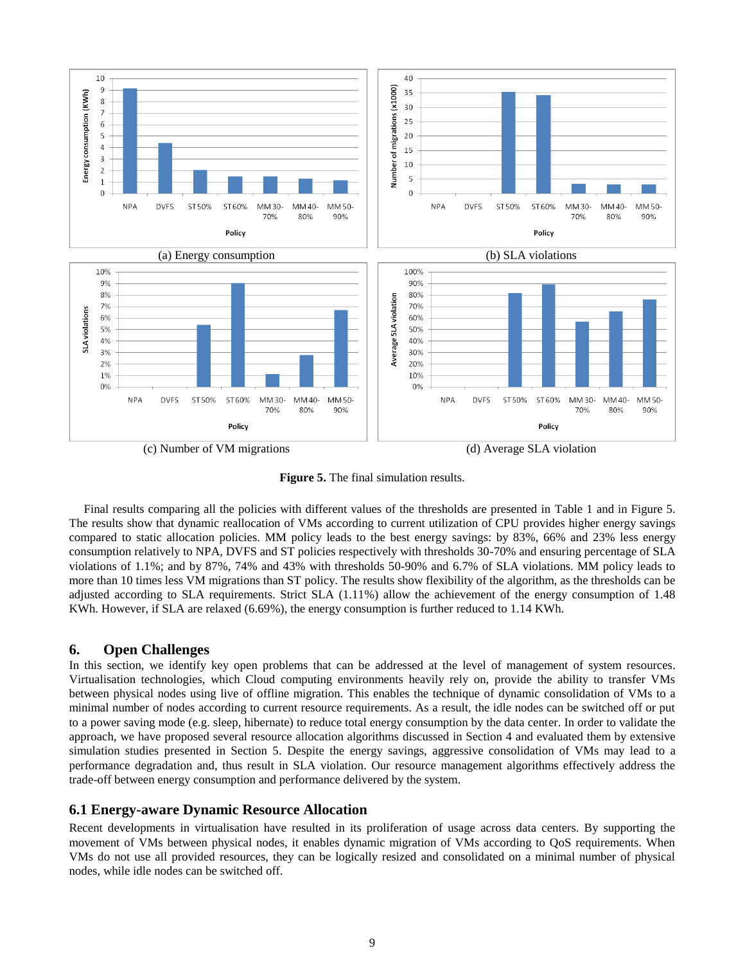

**Figure 5.** The final simulation results.

Final results comparing all the policies with different values of the thresholds are presented in [Table 1](#page-7-1) and in Figure 5. The results show that dynamic reallocation of VMs according to current utilization of CPU provides higher energy savings compared to static allocation policies. MM policy leads to the best energy savings: by 83%, 66% and 23% less energy consumption relatively to NPA, DVFS and ST policies respectively with thresholds 30-70% and ensuring percentage of SLA violations of 1.1%; and by 87%, 74% and 43% with thresholds 50-90% and 6.7% of SLA violations. MM policy leads to more than 10 times less VM migrations than ST policy. The results show flexibility of the algorithm, as the thresholds can be adjusted according to SLA requirements. Strict SLA (1.11%) allow the achievement of the energy consumption of 1.48 KWh. However, if SLA are relaxed (6.69%), the energy consumption is further reduced to 1.14 KWh.

## **6. Open Challenges**

In this section, we identify key open problems that can be addressed at the level of management of system resources. Virtualisation technologies, which Cloud computing environments heavily rely on, provide the ability to transfer VMs between physical nodes using live of offline migration. This enables the technique of dynamic consolidation of VMs to a minimal number of nodes according to current resource requirements. As a result, the idle nodes can be switched off or put to a power saving mode (e.g. sleep, hibernate) to reduce total energy consumption by the data center. In order to validate the approach, we have proposed several resource allocation algorithms discussed in Section 4 and evaluated them by extensive simulation studies presented in Section 5. Despite the energy savings, aggressive consolidation of VMs may lead to a performance degradation and, thus result in SLA violation. Our resource management algorithms effectively address the trade-off between energy consumption and performance delivered by the system.

## **6.1 Energy-aware Dynamic Resource Allocation**

Recent developments in virtualisation have resulted in its proliferation of usage across data centers. By supporting the movement of VMs between physical nodes, it enables dynamic migration of VMs according to QoS requirements. When VMs do not use all provided resources, they can be logically resized and consolidated on a minimal number of physical nodes, while idle nodes can be switched off.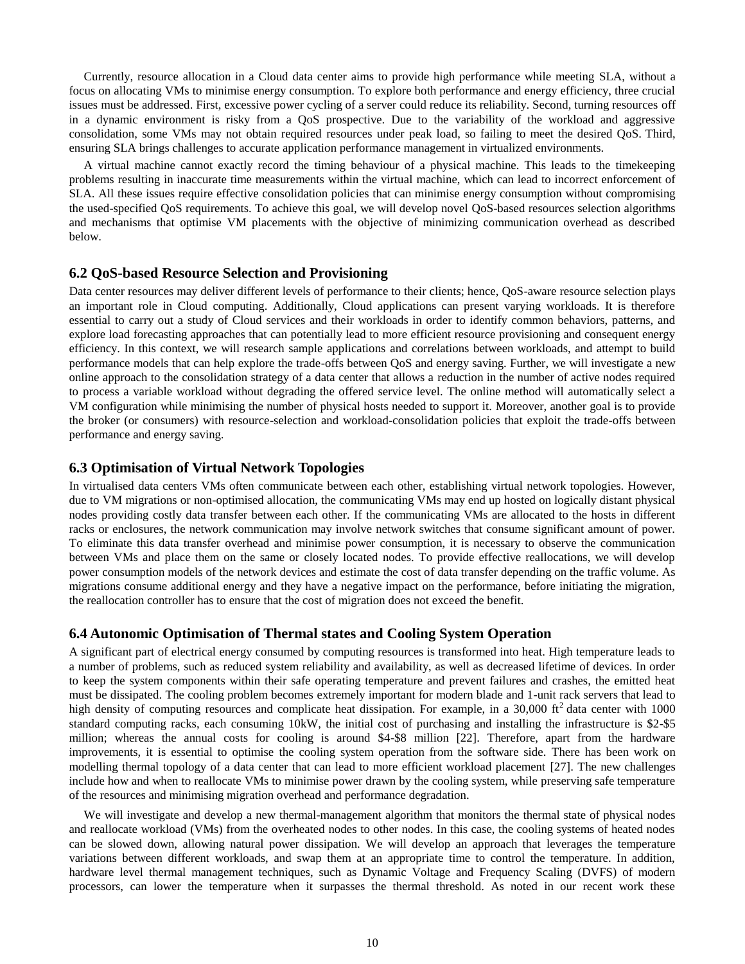Currently, resource allocation in a Cloud data center aims to provide high performance while meeting SLA, without a focus on allocating VMs to minimise energy consumption. To explore both performance and energy efficiency, three crucial issues must be addressed. First, excessive power cycling of a server could reduce its reliability. Second, turning resources off in a dynamic environment is risky from a QoS prospective. Due to the variability of the workload and aggressive consolidation, some VMs may not obtain required resources under peak load, so failing to meet the desired QoS. Third, ensuring SLA brings challenges to accurate application performance management in virtualized environments.

A virtual machine cannot exactly record the timing behaviour of a physical machine. This leads to the timekeeping problems resulting in inaccurate time measurements within the virtual machine, which can lead to incorrect enforcement of SLA. All these issues require effective consolidation policies that can minimise energy consumption without compromising the used-specified QoS requirements. To achieve this goal, we will develop novel QoS-based resources selection algorithms and mechanisms that optimise VM placements with the objective of minimizing communication overhead as described below.

## **6.2 QoS-based Resource Selection and Provisioning**

Data center resources may deliver different levels of performance to their clients; hence, QoS-aware resource selection plays an important role in Cloud computing. Additionally, Cloud applications can present varying workloads. It is therefore essential to carry out a study of Cloud services and their workloads in order to identify common behaviors, patterns, and explore load forecasting approaches that can potentially lead to more efficient resource provisioning and consequent energy efficiency. In this context, we will research sample applications and correlations between workloads, and attempt to build performance models that can help explore the trade-offs between QoS and energy saving. Further, we will investigate a new online approach to the consolidation strategy of a data center that allows a reduction in the number of active nodes required to process a variable workload without degrading the offered service level. The online method will automatically select a VM configuration while minimising the number of physical hosts needed to support it. Moreover, another goal is to provide the broker (or consumers) with resource-selection and workload-consolidation policies that exploit the trade-offs between performance and energy saving.

#### **6.3 Optimisation of Virtual Network Topologies**

In virtualised data centers VMs often communicate between each other, establishing virtual network topologies. However, due to VM migrations or non-optimised allocation, the communicating VMs may end up hosted on logically distant physical nodes providing costly data transfer between each other. If the communicating VMs are allocated to the hosts in different racks or enclosures, the network communication may involve network switches that consume significant amount of power. To eliminate this data transfer overhead and minimise power consumption, it is necessary to observe the communication between VMs and place them on the same or closely located nodes. To provide effective reallocations, we will develop power consumption models of the network devices and estimate the cost of data transfer depending on the traffic volume. As migrations consume additional energy and they have a negative impact on the performance, before initiating the migration, the reallocation controller has to ensure that the cost of migration does not exceed the benefit.

#### **6.4 Autonomic Optimisation of Thermal states and Cooling System Operation**

A significant part of electrical energy consumed by computing resources is transformed into heat. High temperature leads to a number of problems, such as reduced system reliability and availability, as well as decreased lifetime of devices. In order to keep the system components within their safe operating temperature and prevent failures and crashes, the emitted heat must be dissipated. The cooling problem becomes extremely important for modern blade and 1-unit rack servers that lead to high density of computing resources and complicate heat dissipation. For example, in a  $30,000$  ft<sup>2</sup> data center with 1000 standard computing racks, each consuming 10kW, the initial cost of purchasing and installing the infrastructure is \$2-\$5 million; whereas the annual costs for cooling is around \$4-\$8 million [\[22\].](#page-11-15) Therefore, apart from the hardware improvements, it is essential to optimise the cooling system operation from the software side. There has been work on modelling thermal topology of a data center that can lead to more efficient workload placement [\[27\].](#page-11-16) The new challenges include how and when to reallocate VMs to minimise power drawn by the cooling system, while preserving safe temperature of the resources and minimising migration overhead and performance degradation.

We will investigate and develop a new thermal-management algorithm that monitors the thermal state of physical nodes and reallocate workload (VMs) from the overheated nodes to other nodes. In this case, the cooling systems of heated nodes can be slowed down, allowing natural power dissipation. We will develop an approach that leverages the temperature variations between different workloads, and swap them at an appropriate time to control the temperature. In addition, hardware level thermal management techniques, such as Dynamic Voltage and Frequency Scaling (DVFS) of modern processors, can lower the temperature when it surpasses the thermal threshold. As noted in our recent work these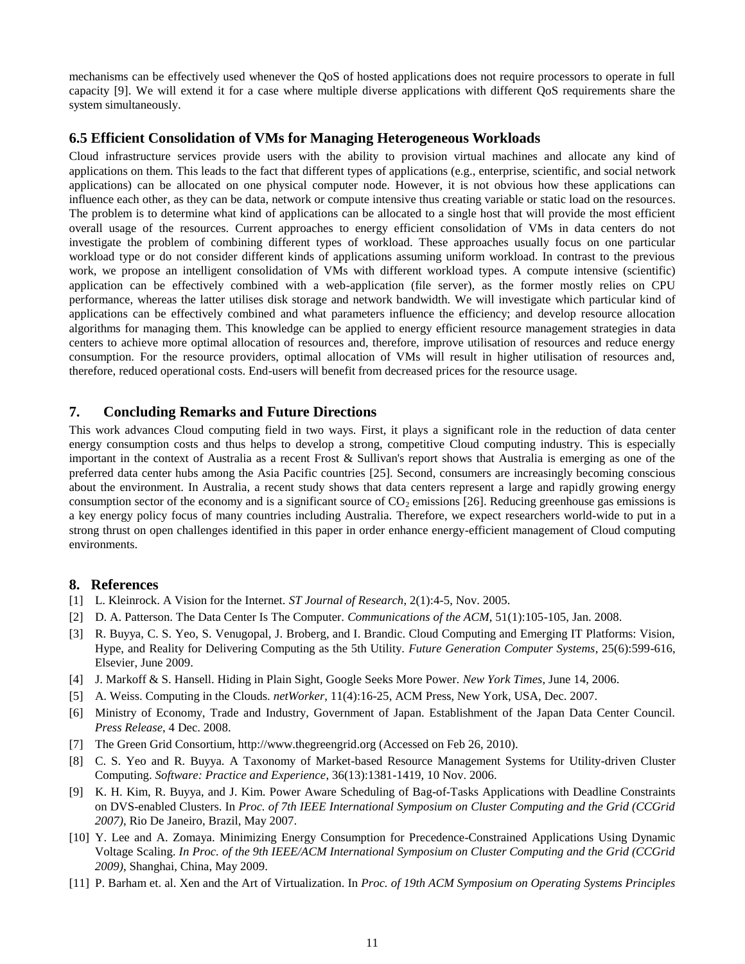mechanisms can be effectively used whenever the QoS of hosted applications does not require processors to operate in full capacity [\[9\].](#page-10-9) We will extend it for a case where multiple diverse applications with different QoS requirements share the system simultaneously.

## **6.5 Efficient Consolidation of VMs for Managing Heterogeneous Workloads**

Cloud infrastructure services provide users with the ability to provision virtual machines and allocate any kind of applications on them. This leads to the fact that different types of applications (e.g., enterprise, scientific, and social network applications) can be allocated on one physical computer node. However, it is not obvious how these applications can influence each other, as they can be data, network or compute intensive thus creating variable or static load on the resources. The problem is to determine what kind of applications can be allocated to a single host that will provide the most efficient overall usage of the resources. Current approaches to energy efficient consolidation of VMs in data centers do not investigate the problem of combining different types of workload. These approaches usually focus on one particular workload type or do not consider different kinds of applications assuming uniform workload. In contrast to the previous work, we propose an intelligent consolidation of VMs with different workload types. A compute intensive (scientific) application can be effectively combined with a web-application (file server), as the former mostly relies on CPU performance, whereas the latter utilises disk storage and network bandwidth. We will investigate which particular kind of applications can be effectively combined and what parameters influence the efficiency; and develop resource allocation algorithms for managing them. This knowledge can be applied to energy efficient resource management strategies in data centers to achieve more optimal allocation of resources and, therefore, improve utilisation of resources and reduce energy consumption. For the resource providers, optimal allocation of VMs will result in higher utilisation of resources and, therefore, reduced operational costs. End-users will benefit from decreased prices for the resource usage.

## **7. Concluding Remarks and Future Directions**

This work advances Cloud computing field in two ways. First, it plays a significant role in the reduction of data center energy consumption costs and thus helps to develop a strong, competitive Cloud computing industry. This is especially important in the context of Australia as a recent Frost & Sullivan's report shows that Australia is emerging as one of the preferred data center hubs among the Asia Pacific countries [\[25\].](#page-11-17) Second, consumers are increasingly becoming conscious about the environment. In Australia, a recent study shows that data centers represent a large and rapidly growing energy consumption sector of the economy and is a significant source of  $CO<sub>2</sub>$  emission[s \[26\].](#page-11-18) Reducing greenhouse gas emissions is a key energy policy focus of many countries including Australia. Therefore, we expect researchers world-wide to put in a strong thrust on open challenges identified in this paper in order enhance energy-efficient management of Cloud computing environments.

### **8. References**

- <span id="page-10-0"></span>[1] L. Kleinrock. A Vision for the Internet. *ST Journal of Research*, 2(1):4-5, Nov. 2005.
- <span id="page-10-3"></span>[2] D. A. Patterson. The Data Center Is The Computer. *Communications of the ACM*, 51(1):105-105, Jan. 2008.
- <span id="page-10-4"></span>[3] R. Buyya, C. S. Yeo, S. Venugopal, J. Broberg, and I. Brandic. Cloud Computing and Emerging IT Platforms: Vision, Hype, and Reality for Delivering Computing as the 5th Utility. *Future Generation Computer Systems*, 25(6):599-616, Elsevier, June 2009.
- <span id="page-10-5"></span>[4] J. Markoff & S. Hansell. Hiding in Plain Sight, Google Seeks More Power. *New York Times*, June 14, 2006.
- <span id="page-10-1"></span>[5] A. Weiss. Computing in the Clouds. *netWorker*, 11(4):16-25, ACM Press, New York, USA, Dec. 2007.
- <span id="page-10-6"></span>[6] Ministry of Economy, Trade and Industry, Government of Japan. Establishment of the Japan Data Center Council. *Press Release*, 4 Dec. 2008.
- <span id="page-10-7"></span>[7] The Green Grid Consortium, http://www.thegreengrid.org (Accessed on Feb 26, 2010).
- <span id="page-10-8"></span>[8] C. S. Yeo and R. Buyya. A Taxonomy of Market-based Resource Management Systems for Utility-driven Cluster Computing. *Software: Practice and Experience*, 36(13):1381-1419, 10 Nov. 2006.
- <span id="page-10-9"></span>[9] K. H. Kim, R. Buyya, and J. Kim. Power Aware Scheduling of Bag-of-Tasks Applications with Deadline Constraints on DVS-enabled Clusters. In *Proc. of 7th IEEE International Symposium on Cluster Computing and the Grid (CCGrid 2007)*, Rio De Janeiro, Brazil, May 2007.
- <span id="page-10-10"></span>[10] Y. Lee and A. Zomaya. Minimizing Energy Consumption for Precedence-Constrained Applications Using Dynamic Voltage Scaling. *In Proc. of the 9th IEEE/ACM International Symposium on Cluster Computing and the Grid (CCGrid 2009)*, Shanghai, China, May 2009.
- <span id="page-10-2"></span>[11] P. Barham et. al. Xen and the Art of Virtualization. In *Proc. of 19th ACM Symposium on Operating Systems Principles*